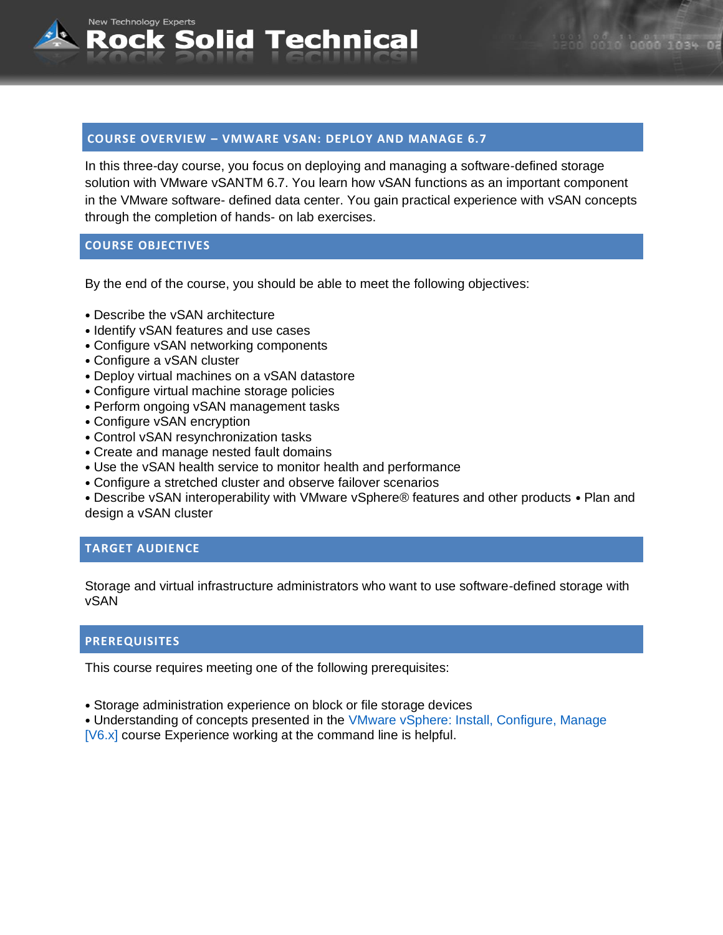## **COURSE OVERVIEW – VMWARE VSAN: DEPLOY AND MANAGE 6.7**

**Rock Solid Technical** 

In this three-day course, you focus on deploying and managing a software-defined storage solution with VMware vSANTM 6.7. You learn how vSAN functions as an important component in the VMware software- defined data center. You gain practical experience with vSAN concepts through the completion of hands- on lab exercises.

## **COURSE OBJECTIVES**

New Technology Experts

By the end of the course, you should be able to meet the following objectives:

- Describe the vSAN architecture
- Identify vSAN features and use cases
- Configure vSAN networking components
- Configure a vSAN cluster
- Deploy virtual machines on a vSAN datastore
- Configure virtual machine storage policies
- Perform ongoing vSAN management tasks
- Configure vSAN encryption
- Control vSAN resynchronization tasks
- Create and manage nested fault domains
- Use the vSAN health service to monitor health and performance
- Configure a stretched cluster and observe failover scenarios

• Describe vSAN interoperability with VMware vSphere® features and other products • Plan and design a vSAN cluster

# **TARGET AUDIENCE**

Storage and virtual infrastructure administrators who want to use software-defined storage with vSAN

## **PREREQUISITES**

This course requires meeting one of the following prerequisites:

• Storage administration experience on block or file storage devices

• Understanding of concepts presented in the VMware vSphere: Install, Configure, Manage

[V6.x] course Experience working at the command line is helpful.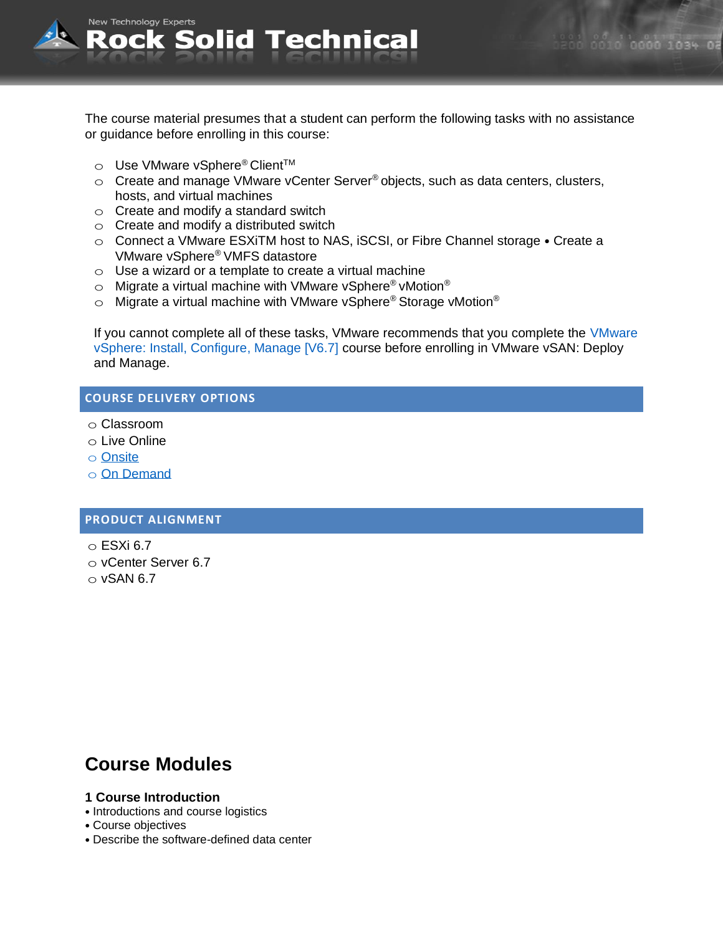

The course material presumes that a student can perform the following tasks with no assistance or guidance before enrolling in this course:

- o Use VMware vSphere® Client™
- $\circ$  Create and manage VMware vCenter Server<sup>®</sup> objects, such as data centers, clusters, hosts, and virtual machines
- $\circ$  Create and modify a standard switch
- $\circ$  Create and modify a distributed switch
- o Connect a VMware ESXiTM host to NAS, iSCSI, or Fibre Channel storage Create a VMware vSphere® VMFS datastore
- $\circ$  Use a wizard or a template to create a virtual machine
- $\circ$  Migrate a virtual machine with VMware vSphere® vMotion®
- $\circ$  Migrate a virtual machine with VMware vSphere® Storage vMotion®

If you cannot complete all of these tasks, VMware recommends that you complete the VMware vSphere: Install, Configure, Manage [V6.7] course before enrolling in VMware vSAN: Deploy and Manage.

# **COURSE DELIVERY OPTIONS**

- o Classroom
- o Live Online
- o [Onsite](mailto:sales@rocksolidtechnical.com?subject=On-Site%20Inquiry)
- o [On Demand](mailto:sales@rocksolidtechnical.com?subject=On%20Demand%20Inquiry)

## **PRODUCT ALIGNMENT**

- $\circ$  ESXi 6.7
- o vCenter Server 6.7
- $\circ$  vSAN 6.7

# **Course Modules**

## **1 Course Introduction**

- Introductions and course logistics
- Course objectives
- Describe the software-defined data center